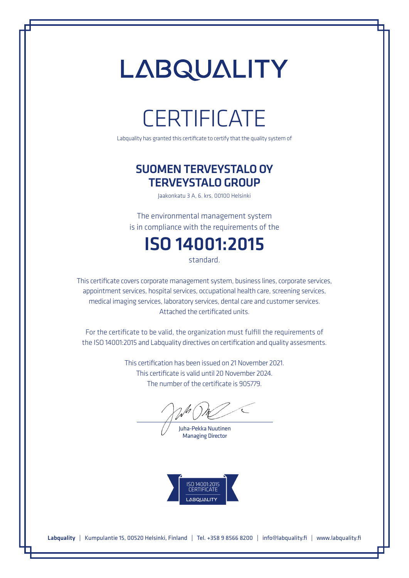## LABQUALITY

### **CERTIFICATE**

Labquality has granted this certificate to certify that the quality system of

#### SUOMEN TERVEYSTALO OY TERVEYSTALO GROUP

Jaakonkatu 3 A, 6. krs, 00100 Helsinki

The environmental management system is in compliance with the requirements of the

### ISO 14001:2015

standard.

This certificate covers corporate management system, business lines, corporate services, appointment services, hospital services, occupational health care, screening services, medical imaging services, laboratory services, dental care and customer services. Attached the certificated units.

For the certificate to be valid, the organization must fulfill the requirements of the ISO 14001:2015 and Labquality directives on certification and quality assesments.

> This certification has been issued on 21 November 2021. This certificate is valid until 20 November 2024. The number of the certificate is 905779.

Juha-Pekka Nuutinen Managing Director